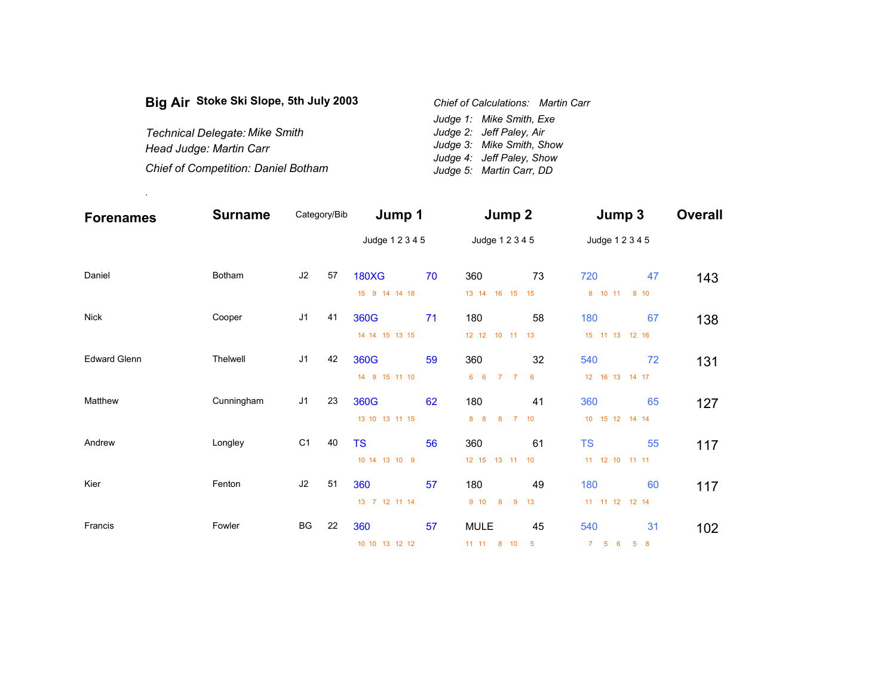| Big Air Stoke Ski Slope, 5th July 2003     | Chief of Calculations: Martin Carr |
|--------------------------------------------|------------------------------------|
|                                            | Judge 1: Mike Smith, Exe           |
| <b>Technical Delegate: Mike Smith</b>      | Judge 2: Jeff Paley, Air           |
| Head Judge: Martin Carr                    | Judge 3: Mike Smith, Show          |
|                                            | Judge 4: Jeff Paley, Show          |
| <b>Chief of Competition: Daniel Botham</b> | Judge 5: Martin Carr, DD           |

.

| <b>Forenames</b>    | <b>Surname</b> | Category/Bib   |    | Jump 1          |    | Jump 2                                |    | Jump 3             |    | <b>Overall</b> |
|---------------------|----------------|----------------|----|-----------------|----|---------------------------------------|----|--------------------|----|----------------|
|                     |                |                |    | Judge 1 2 3 4 5 |    | Judge 1 2 3 4 5                       |    | Judge 1 2 3 4 5    |    |                |
| Daniel              | Botham         | J2             | 57 | <b>180XG</b>    | 70 | 360                                   | 73 | 720                | 47 | 143            |
|                     |                |                |    | 15 9 14 14 18   |    | 13 14 16 15 15                        |    | 8 10 11 8 10       |    |                |
| <b>Nick</b>         | Cooper         | J <sub>1</sub> | 41 | 360G            | 71 | 180                                   | 58 | 180                | 67 | 138            |
|                     |                |                |    | 14 14 15 13 15  |    | 12 12 10 11 13                        |    | 15 11 13 12 16     |    |                |
| <b>Edward Glenn</b> | Thelwell       | J <sub>1</sub> | 42 | 360G            | 59 | 360                                   | 32 | 540                | 72 | 131            |
|                     |                |                |    | 14 9 15 11 10   |    | $6\quad 6$<br>7 <sub>7</sub>          | 6  | 12  16  13  14  17 |    |                |
| Matthew             | Cunningham     | J <sub>1</sub> | 23 | 360G            | 62 | 180                                   | 41 | 360                | 65 | 127            |
|                     |                |                |    | 13 10 13 11 15  |    | 8 <sub>8</sub><br>8<br>$\overline{7}$ | 10 | 10 15 12 14 14     |    |                |
| Andrew<br>Longley   |                | C <sub>1</sub> | 40 | <b>TS</b>       | 56 | 360                                   | 61 | <b>TS</b>          | 55 | 117            |
|                     |                |                |    | 10 14 13 10 9   |    | 12 15 13 11 10                        |    | 11 12 10 11 11     |    |                |
| Fenton<br>Kier      |                | J2             | 51 | 360             | 57 | 180                                   | 49 | 180                | 60 | 117            |
|                     |                |                |    | 13 7 12 11 14   |    | 9 <sub>10</sub><br>8<br>9             | 13 | 11 11 12 12 14     |    |                |
| Francis             | Fowler         | BG             | 22 | 360             | 57 | <b>MULE</b>                           | 45 | 540                | 31 | 102            |
|                     |                |                |    | 10 10 13 12 12  |    | 11 11 8 10 5                          |    | 7 5 6 5 8          |    |                |